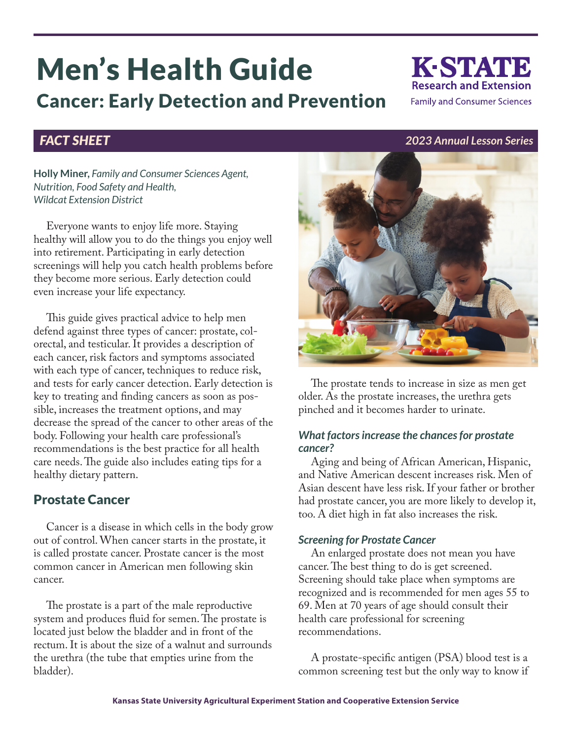# Men's Health Guide Cancer: Early Detection and Prevention

**Holly Miner,** *Family and Consumer Sciences Agent, Nutrition, Food Safety and Health, Wildcat Extension District*

Everyone wants to enjoy life more. Staying healthy will allow you to do the things you enjoy well into retirement. Participating in early detection screenings will help you catch health problems before they become more serious. Early detection could even increase your life expectancy.

This guide gives practical advice to help men defend against three types of cancer: prostate, colorectal, and testicular. It provides a description of each cancer, risk factors and symptoms associated with each type of cancer, techniques to reduce risk, and tests for early cancer detection. Early detection is key to treating and finding cancers as soon as possible, increases the treatment options, and may decrease the spread of the cancer to other areas of the body. Following your health care professional's recommendations is the best practice for all health care needs. The guide also includes eating tips for a healthy dietary pattern.

# Prostate Cancer

Cancer is a disease in which cells in the body grow out of control. When cancer starts in the prostate, it is called prostate cancer. Prostate cancer is the most common cancer in American men following skin cancer.

The prostate is a part of the male reproductive system and produces fluid for semen. The prostate is located just below the bladder and in front of the rectum. It is about the size of a walnut and surrounds the urethra (the tube that empties urine from the bladder).

The prostate tends to increase in size as men get

older. As the prostate increases, the urethra gets pinched and it becomes harder to urinate.

# *What factors increase the chances for prostate cancer?*

Aging and being of African American, Hispanic, and Native American descent increases risk. Men of Asian descent have less risk. If your father or brother had prostate cancer, you are more likely to develop it, too. A diet high in fat also increases the risk.

# *Screening for Prostate Cancer*

An enlarged prostate does not mean you have cancer. The best thing to do is get screened. Screening should take place when symptoms are recognized and is recommended for men ages 55 to 69. Men at 70 years of age should consult their health care professional for screening recommendations.

A prostate-specific antigen (PSA) blood test is a common screening test but the only way to know if



K-STATE **Research and Extension Family and Consumer Sciences**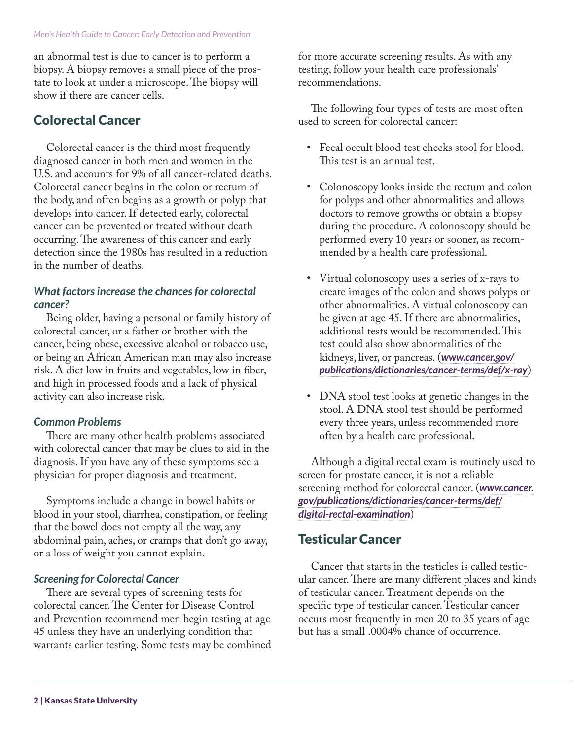an abnormal test is due to cancer is to perform a biopsy. A biopsy removes a small piece of the prostate to look at under a microscope. The biopsy will show if there are cancer cells.

# Colorectal Cancer

Colorectal cancer is the third most frequently diagnosed cancer in both men and women in the U.S. and accounts for 9% of all cancer-related deaths. Colorectal cancer begins in the colon or rectum of the body, and often begins as a growth or polyp that develops into cancer. If detected early, colorectal cancer can be prevented or treated without death occurring. The awareness of this cancer and early detection since the 1980s has resulted in a reduction in the number of deaths.

# *What factors increase the chances for colorectal cancer?*

Being older, having a personal or family history of colorectal cancer, or a father or brother with the cancer, being obese, excessive alcohol or tobacco use, or being an African American man may also increase risk. A diet low in fruits and vegetables, low in fiber, and high in processed foods and a lack of physical activity can also increase risk.

# *Common Problems*

There are many other health problems associated with colorectal cancer that may be clues to aid in the diagnosis. If you have any of these symptoms see a physician for proper diagnosis and treatment.

Symptoms include a change in bowel habits or blood in your stool, diarrhea, constipation, or feeling that the bowel does not empty all the way, any abdominal pain, aches, or cramps that don't go away, or a loss of weight you cannot explain.

# *Screening for Colorectal Cancer*

There are several types of screening tests for colorectal cancer. The Center for Disease Control and Prevention recommend men begin testing at age 45 unless they have an underlying condition that warrants earlier testing. Some tests may be combined for more accurate screening results. As with any testing, follow your health care professionals' recommendations.

The following four types of tests are most often used to screen for colorectal cancer:

- Fecal occult blood test checks stool for blood. This test is an annual test.
- Colonoscopy looks inside the rectum and colon for polyps and other abnormalities and allows doctors to remove growths or obtain a biopsy during the procedure. A colonoscopy should be performed every 10 years or sooner, as recommended by a health care professional.
- Virtual colonoscopy uses a series of x-rays to create images of the colon and shows polyps or other abnormalities. A virtual colonoscopy can be given at age 45. If there are abnormalities, additional tests would be recommended. This test could also show abnormalities of the kidneys, liver, or pancreas. (*[www.cancer.gov/](https://www.cancer.gov/publications/dictionaries/cancer-terms/def/x-ray) [publications/dictionaries/cancer-terms/def/x-ray](https://www.cancer.gov/publications/dictionaries/cancer-terms/def/x-ray)*)
- DNA stool test looks at genetic changes in the stool. A DNA stool test should be performed every three years, unless recommended more often by a health care professional.

Although a digital rectal exam is routinely used to screen for prostate cancer, it is not a reliable screening method for colorectal cancer. (*[www.cancer.](https://www.cancer.gov/publications/dictionaries/cancer-terms/def/digital-rectal-examination) [gov/publications/dictionaries/cancer-terms/def/](https://www.cancer.gov/publications/dictionaries/cancer-terms/def/digital-rectal-examination) [digital-rectal-examination](https://www.cancer.gov/publications/dictionaries/cancer-terms/def/digital-rectal-examination)*)

# Testicular Cancer

Cancer that starts in the testicles is called testicular cancer. There are many different places and kinds of testicular cancer. Treatment depends on the specific type of testicular cancer. Testicular cancer occurs most frequently in men 20 to 35 years of age but has a small .0004% chance of occurrence.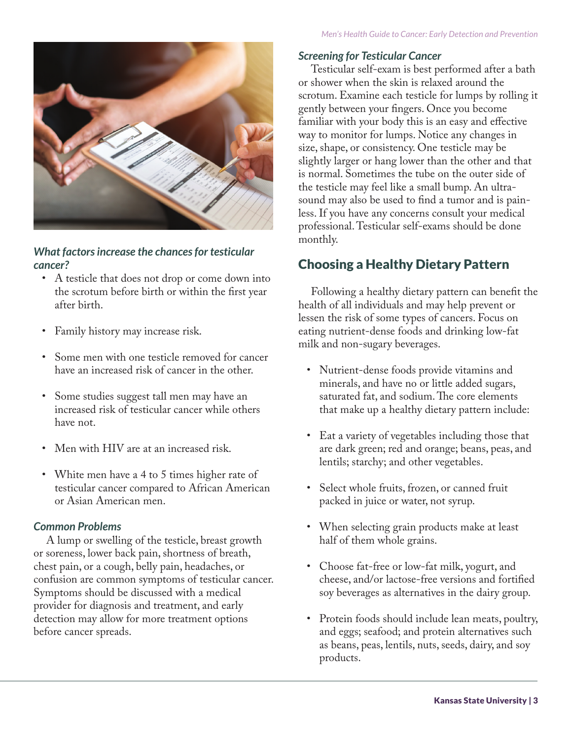

# *What factors increase the chances for testicular cancer?*

- A testicle that does not drop or come down into the scrotum before birth or within the first year after birth.
- Family history may increase risk.
- Some men with one testicle removed for cancer have an increased risk of cancer in the other.
- Some studies suggest tall men may have an increased risk of testicular cancer while others have not.
- Men with HIV are at an increased risk.
- White men have a 4 to 5 times higher rate of testicular cancer compared to African American or Asian American men.

# *Common Problems*

A lump or swelling of the testicle, breast growth or soreness, lower back pain, shortness of breath, chest pain, or a cough, belly pain, headaches, or confusion are common symptoms of testicular cancer. Symptoms should be discussed with a medical provider for diagnosis and treatment, and early detection may allow for more treatment options before cancer spreads.

# *Screening for Testicular Cancer*

Testicular self-exam is best performed after a bath or shower when the skin is relaxed around the scrotum. Examine each testicle for lumps by rolling it gently between your fingers. Once you become familiar with your body this is an easy and effective way to monitor for lumps. Notice any changes in size, shape, or consistency. One testicle may be slightly larger or hang lower than the other and that is normal. Sometimes the tube on the outer side of the testicle may feel like a small bump. An ultrasound may also be used to find a tumor and is painless. If you have any concerns consult your medical professional. Testicular self-exams should be done monthly.

# Choosing a Healthy Dietary Pattern

Following a healthy dietary pattern can benefit the health of all individuals and may help prevent or lessen the risk of some types of cancers. Focus on eating nutrient-dense foods and drinking low-fat milk and non-sugary beverages.

- Nutrient-dense foods provide vitamins and minerals, and have no or little added sugars, saturated fat, and sodium. The core elements that make up a healthy dietary pattern include:
- Eat a variety of vegetables including those that are dark green; red and orange; beans, peas, and lentils; starchy; and other vegetables.
- Select whole fruits, frozen, or canned fruit packed in juice or water, not syrup.
- When selecting grain products make at least half of them whole grains.
- Choose fat-free or low-fat milk, yogurt, and cheese, and/or lactose-free versions and fortified soy beverages as alternatives in the dairy group.
- Protein foods should include lean meats, poultry, and eggs; seafood; and protein alternatives such as beans, peas, lentils, nuts, seeds, dairy, and soy products.